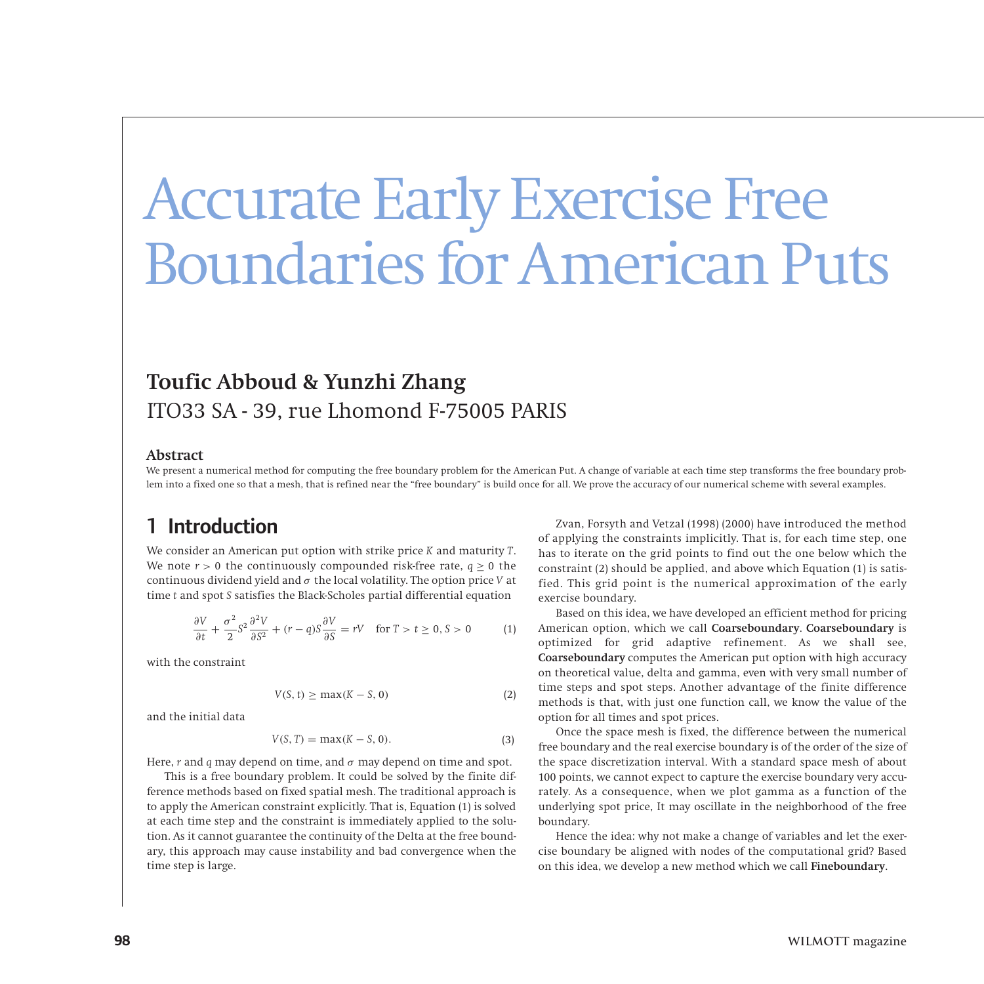# Accurate Early Exercise Free Boundaries for American Puts

# **Toufic Abboud & Yunzhi Zhang** ITO33 SA - 39, rue Lhomond F-75005 PARIS

#### **Abstract**

We present a numerical method for computing the free boundary problem for the American Put. A change of variable at each time step transforms the free boundary problem into a fixed one so that a mesh, that is refined near the "free boundary" is build once for all. We prove the accuracy of our numerical scheme with several examples.

## 1 Introduction

We consider an American put option with strike price *K* and maturity *T*. We note  $r > 0$  the continuously compounded risk-free rate,  $q \ge 0$  the continuous dividend yield and *σ* the local volatility. The option price *V* at time *t* and spot *S* satisfies the Black-Scholes partial differential equation

$$
\frac{\partial V}{\partial t} + \frac{\sigma^2}{2} S^2 \frac{\partial^2 V}{\partial S^2} + (r - q) S \frac{\partial V}{\partial S} = rV \quad \text{for } T > t \ge 0, S > 0 \tag{1}
$$

with the constraint

$$
V(S, t) \ge \max(K - S, 0) \tag{2}
$$

and the initial data

$$
V(S, T) = \max(K - S, 0). \tag{3}
$$

Here, *r* and *q* may depend on time, and *σ* may depend on time and spot.

This is a free boundary problem. It could be solved by the finite difference methods based on fixed spatial mesh. The traditional approach is to apply the American constraint explicitly. That is, Equation (1) is solved at each time step and the constraint is immediately applied to the solution. As it cannot guarantee the continuity of the Delta at the free boundary, this approach may cause instability and bad convergence when the time step is large.

Zvan, Forsyth and Vetzal (1998) (2000) have introduced the method of applying the constraints implicitly. That is, for each time step, one has to iterate on the grid points to find out the one below which the constraint (2) should be applied, and above which Equation (1) is satisfied. This grid point is the numerical approximation of the early exercise boundary.

Based on this idea, we have developed an efficient method for pricing American option, which we call **Coarseboundary**. **Coarseboundary** is optimized for grid adaptive refinement. As we shall see, **Coarseboundary** computes the American put option with high accuracy on theoretical value, delta and gamma, even with very small number of time steps and spot steps. Another advantage of the finite difference methods is that, with just one function call, we know the value of the option for all times and spot prices.

Once the space mesh is fixed, the difference between the numerical free boundary and the real exercise boundary is of the order of the size of the space discretization interval. With a standard space mesh of about 100 points, we cannot expect to capture the exercise boundary very accurately. As a consequence, when we plot gamma as a function of the underlying spot price, It may oscillate in the neighborhood of the free boundary.

Hence the idea: why not make a change of variables and let the exercise boundary be aligned with nodes of the computational grid? Based on this idea, we develop a new method which we call **Fineboundary**.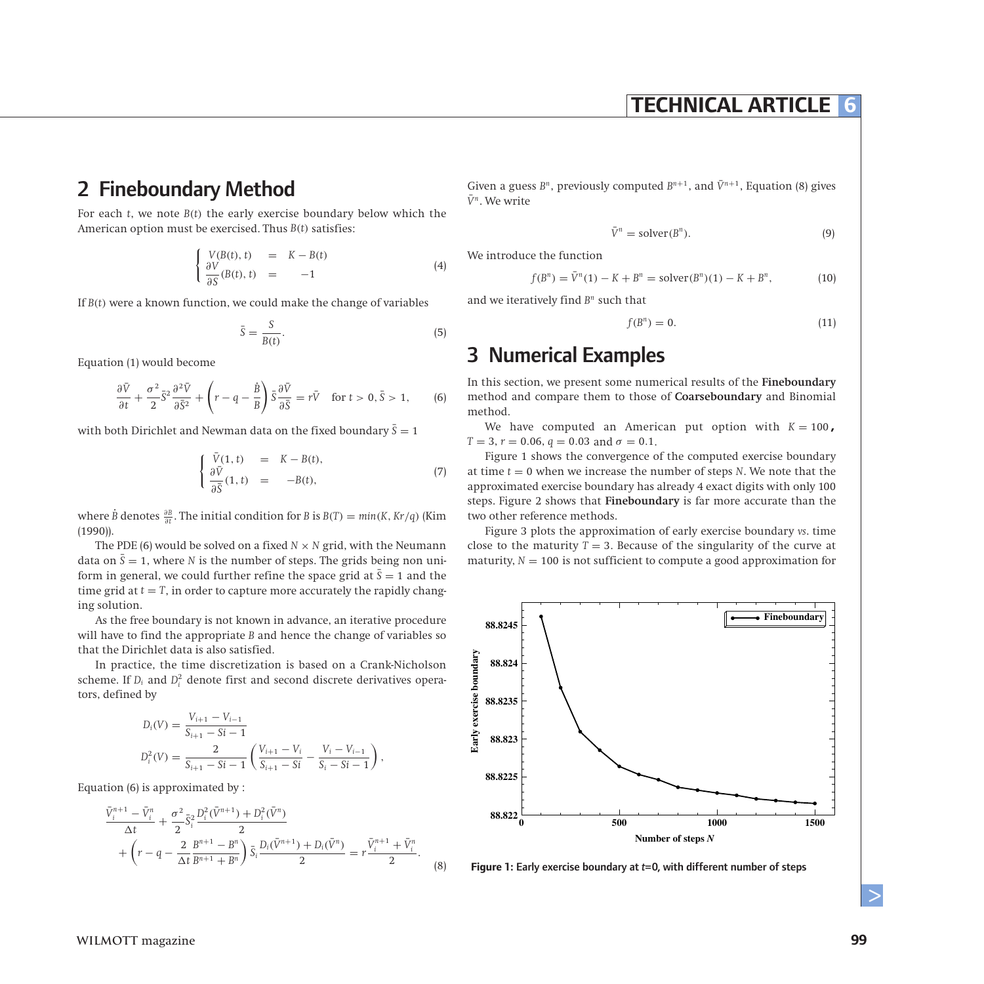### **TECHNICAL ARTICLE 6**

## 2 Fineboundary Method

For each *t*, we note *B(t)* the early exercise boundary below which the American option must be exercised. Thus *B(t)* satisfies:

$$
\begin{cases}\nV(B(t), t) &= K - B(t) \\
\frac{\partial V}{\partial S}(B(t), t) &= -1\n\end{cases}
$$
\n(4)

If  $B(t)$  were a known function, we could make the change of variables

$$
\bar{S} = \frac{S}{B(t)}.\tag{5}
$$

Equation (1) would become

$$
\frac{\partial \bar{V}}{\partial t} + \frac{\sigma^2}{2} \bar{S}^2 \frac{\partial^2 \bar{V}}{\partial \bar{S}^2} + \left(r - q - \frac{\dot{B}}{B}\right) \bar{S} \frac{\partial \bar{V}}{\partial \bar{S}} = r\bar{V} \quad \text{for } t > 0, \bar{S} > 1,
$$
 (6)

with both Dirichlet and Newman data on the fixed boundary  $\bar{S} = 1$ 

$$
\begin{cases}\n\bar{V}(1, t) &= K - B(t), \\
\frac{\partial \bar{V}}{\partial \bar{S}}(1, t) &= -B(t),\n\end{cases}
$$
\n(7)

where  $\dot{B}$  denotes  $\frac{\partial B}{\partial t}$ . The initial condition for *B* is  $B(T) = min(K, Kr/q)$  (Kim (1990)).

The PDE (6) would be solved on a fixed  $N \times N$  grid, with the Neumann data on  $\bar{S} = 1$ , where *N* is the number of steps. The grids being non uniform in general, we could further refine the space grid at  $\bar{S} = 1$  and the time grid at  $t = T$ , in order to capture more accurately the rapidly changing solution.

As the free boundary is not known in advance, an iterative procedure will have to find the appropriate *B* and hence the change of variables so that the Dirichlet data is also satisfied.

In practice, the time discretization is based on a Crank-Nicholson scheme. If  $D_i$  and  $D_i^2$  denote first and second discrete derivatives operators, defined by

$$
D_i(V) = \frac{V_{i+1} - V_{i-1}}{S_{i+1} - Si - 1}
$$
  

$$
D_i^2(V) = \frac{2}{S_{i+1} - Si - 1} \left( \frac{V_{i+1} - V_i}{S_{i+1} - Si - S_i} - \frac{V_i - V_{i-1}}{S_i - Si - 1} \right),
$$

Equation (6) is approximated by :

$$
\frac{\bar{V}_{i}^{n+1} - \bar{V}_{i}^{n}}{\Delta t} + \frac{\sigma^{2}}{2} \bar{S}_{i}^{2} \frac{D_{i}^{2} (\bar{V}^{n+1}) + D_{i}^{2} (\bar{V}^{n})}{2} + \left(r - q - \frac{2}{\Delta t} \frac{B^{n+1} - B^{n}}{B^{n+1} + B^{n}}\right) \bar{S}_{i} \frac{D_{i} (\bar{V}^{n+1}) + D_{i} (\bar{V}^{n})}{2} = r \frac{\bar{V}_{i}^{n+1} + \bar{V}_{i}^{n}}{2}.
$$

(8)

Given a guess  $B^n$ , previously computed  $B^{n+1}$ , and  $\bar{V}^{n+1}$ , Equation (8) gives  $\bar{V}^n$ . We write

$$
\bar{V}^n = \text{solver}(B^n). \tag{9}
$$

We introduce the function

$$
f(B^n) = \bar{V}^n(1) - K + B^n = \text{solver}(B^n)(1) - K + B^n,
$$
\n(10)

and we iteratively find *B<sup>n</sup>* such that

$$
f(B^n) = 0.\t(11)
$$

### 3 Numerical Examples

In this section, we present some numerical results of the **Fineboundary** method and compare them to those of **Coarseboundary** and Binomial method.

We have computed an American put option with  $K = 100$ ,  $T = 3, r = 0.06, q = 0.03$  and  $\sigma = 0.1$ .

Figure 1 shows the convergence of the computed exercise boundary at time  $t = 0$  when we increase the number of steps  $N$ . We note that the approximated exercise boundary has already 4 exact digits with only 100 steps. Figure 2 shows that **Fineboundary** is far more accurate than the two other reference methods.

Figure 3 plots the approximation of early exercise boundary *vs*. time close to the maturity  $T = 3$ . Because of the singularity of the curve at maturity,  $N = 100$  is not sufficient to compute a good approximation for



**Figure 1:** Early exercise boundary at *t*=0, with different number of steps

 $\geq$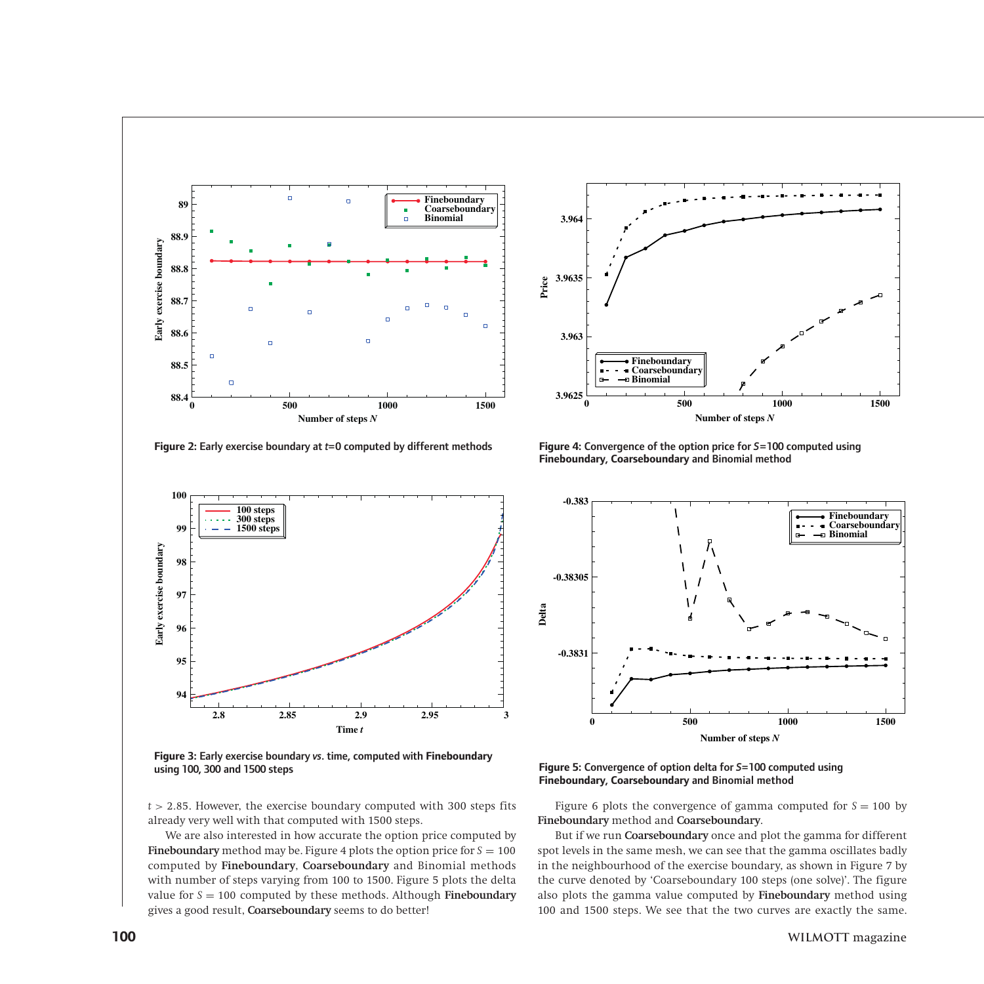

**Figure 2:** Early exercise boundary at *t*=0 computed by different methods



**Figure 3:** Early exercise boundary *vs*. time, computed with **Fineboundary** using 100, 300 and 1500 steps



**Figure 4:** Convergence of the option price for *S*=100 computed using **Fineboundary**, **Coarseboundary** and Binomial method



**Figure 5:** Convergence of option delta for *S*=100 computed using **Fineboundary**, **Coarseboundary** and Binomial method

Figure 6 plots the convergence of gamma computed for  $S = 100$  by **Fineboundary** method and **Coarseboundary**.

But if we run **Coarseboundary** once and plot the gamma for different spot levels in the same mesh, we can see that the gamma oscillates badly in the neighbourhood of the exercise boundary, as shown in Figure 7 by the curve denoted by 'Coarseboundary 100 steps (one solve)'. The figure also plots the gamma value computed by **Fineboundary** method using 100 and 1500 steps. We see that the two curves are exactly the same.

*t >* 2*.*85. However, the exercise boundary computed with 300 steps fits already very well with that computed with 1500 steps.

We are also interested in how accurate the option price computed by **Fineboundary** method may be. Figure 4 plots the option price for  $S = 100$ computed by **Fineboundary**, **Coarseboundary** and Binomial methods with number of steps varying from 100 to 1500. Figure 5 plots the delta value for  $S = 100$  computed by these methods. Although **Fineboundary** gives a good result, **Coarseboundary** seems to do better!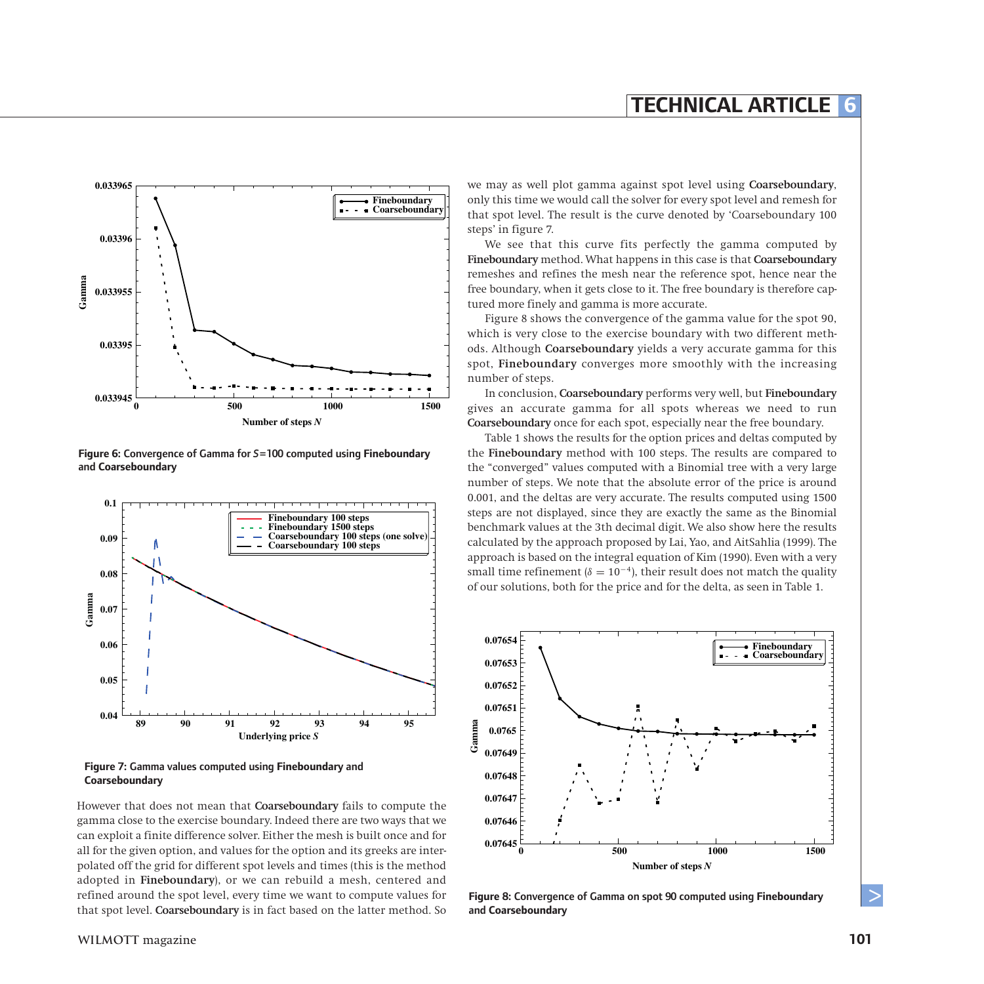

**Figure 6:** Convergence of Gamma for *S*=100 computed using **Fineboundary** and **Coarseboundary**



**Figure 7:** Gamma values computed using **Fineboundary** and **Coarseboundary**

However that does not mean that **Coarseboundary** fails to compute the gamma close to the exercise boundary. Indeed there are two ways that we can exploit a finite difference solver. Either the mesh is built once and for all for the given option, and values for the option and its greeks are interpolated off the grid for different spot levels and times (this is the method adopted in **Fineboundary**), or we can rebuild a mesh, centered and refined around the spot level, every time we want to compute values for that spot level. **Coarseboundary** is in fact based on the latter method. So

we may as well plot gamma against spot level using **Coarseboundary**, only this time we would call the solver for every spot level and remesh for that spot level. The result is the curve denoted by 'Coarseboundary 100 steps' in figure 7.

We see that this curve fits perfectly the gamma computed by **Fineboundary** method. What happens in this case is that **Coarseboundary** remeshes and refines the mesh near the reference spot, hence near the free boundary, when it gets close to it. The free boundary is therefore captured more finely and gamma is more accurate.

Figure 8 shows the convergence of the gamma value for the spot 90, which is very close to the exercise boundary with two different methods. Although **Coarseboundary** yields a very accurate gamma for this spot, **Fineboundary** converges more smoothly with the increasing number of steps.

In conclusion, **Coarseboundary** performs very well, but **Fineboundary** gives an accurate gamma for all spots whereas we need to run **Coarseboundary** once for each spot, especially near the free boundary.

Table 1 shows the results for the option prices and deltas computed by the **Fineboundary** method with 100 steps. The results are compared to the "converged" values computed with a Binomial tree with a very large number of steps. We note that the absolute error of the price is around 0.001, and the deltas are very accurate. The results computed using 1500 steps are not displayed, since they are exactly the same as the Binomial benchmark values at the 3th decimal digit. We also show here the results calculated by the approach proposed by Lai, Yao, and AitSahlia (1999). The approach is based on the integral equation of Kim (1990). Even with a very small time refinement ( $\delta = 10^{-4}$ ), their result does not match the quality of our solutions, both for the price and for the delta, as seen in Table 1.



**Figure 8:** Convergence of Gamma on spot 90 computed using **Fineboundary** and **Coarseboundary** 

 $\geq$